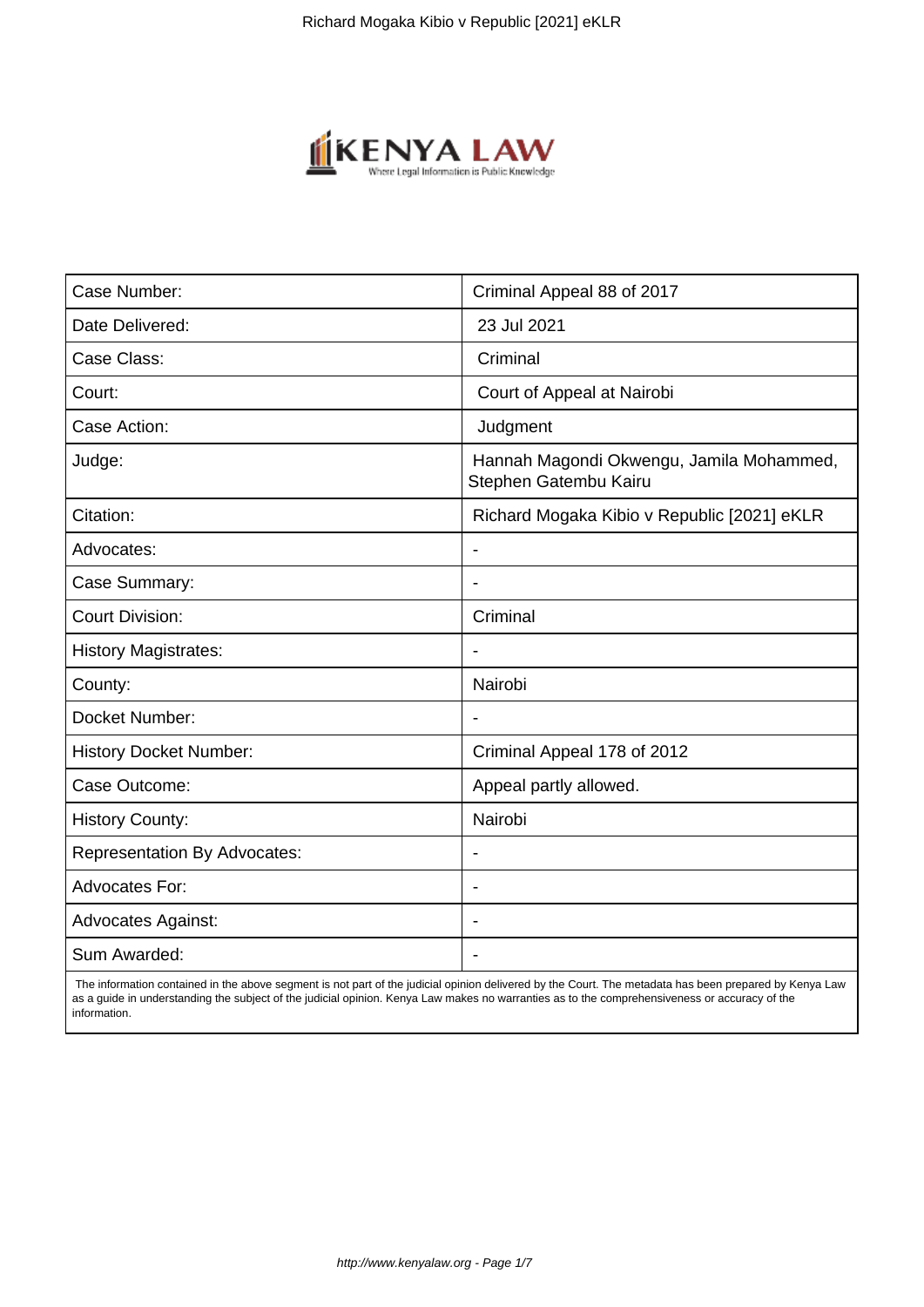

| Case Number:                        | Criminal Appeal 88 of 2017                                        |
|-------------------------------------|-------------------------------------------------------------------|
| Date Delivered:                     | 23 Jul 2021                                                       |
| Case Class:                         | Criminal                                                          |
| Court:                              | Court of Appeal at Nairobi                                        |
| Case Action:                        | Judgment                                                          |
| Judge:                              | Hannah Magondi Okwengu, Jamila Mohammed,<br>Stephen Gatembu Kairu |
| Citation:                           | Richard Mogaka Kibio v Republic [2021] eKLR                       |
| Advocates:                          |                                                                   |
| Case Summary:                       |                                                                   |
| <b>Court Division:</b>              | Criminal                                                          |
| <b>History Magistrates:</b>         | $\blacksquare$                                                    |
| County:                             | Nairobi                                                           |
| Docket Number:                      |                                                                   |
| <b>History Docket Number:</b>       | Criminal Appeal 178 of 2012                                       |
| Case Outcome:                       | Appeal partly allowed.                                            |
| <b>History County:</b>              | Nairobi                                                           |
| <b>Representation By Advocates:</b> | $\qquad \qquad \blacksquare$                                      |
| <b>Advocates For:</b>               |                                                                   |
| <b>Advocates Against:</b>           |                                                                   |
| Sum Awarded:                        |                                                                   |

 The information contained in the above segment is not part of the judicial opinion delivered by the Court. The metadata has been prepared by Kenya Law as a guide in understanding the subject of the judicial opinion. Kenya Law makes no warranties as to the comprehensiveness or accuracy of the information.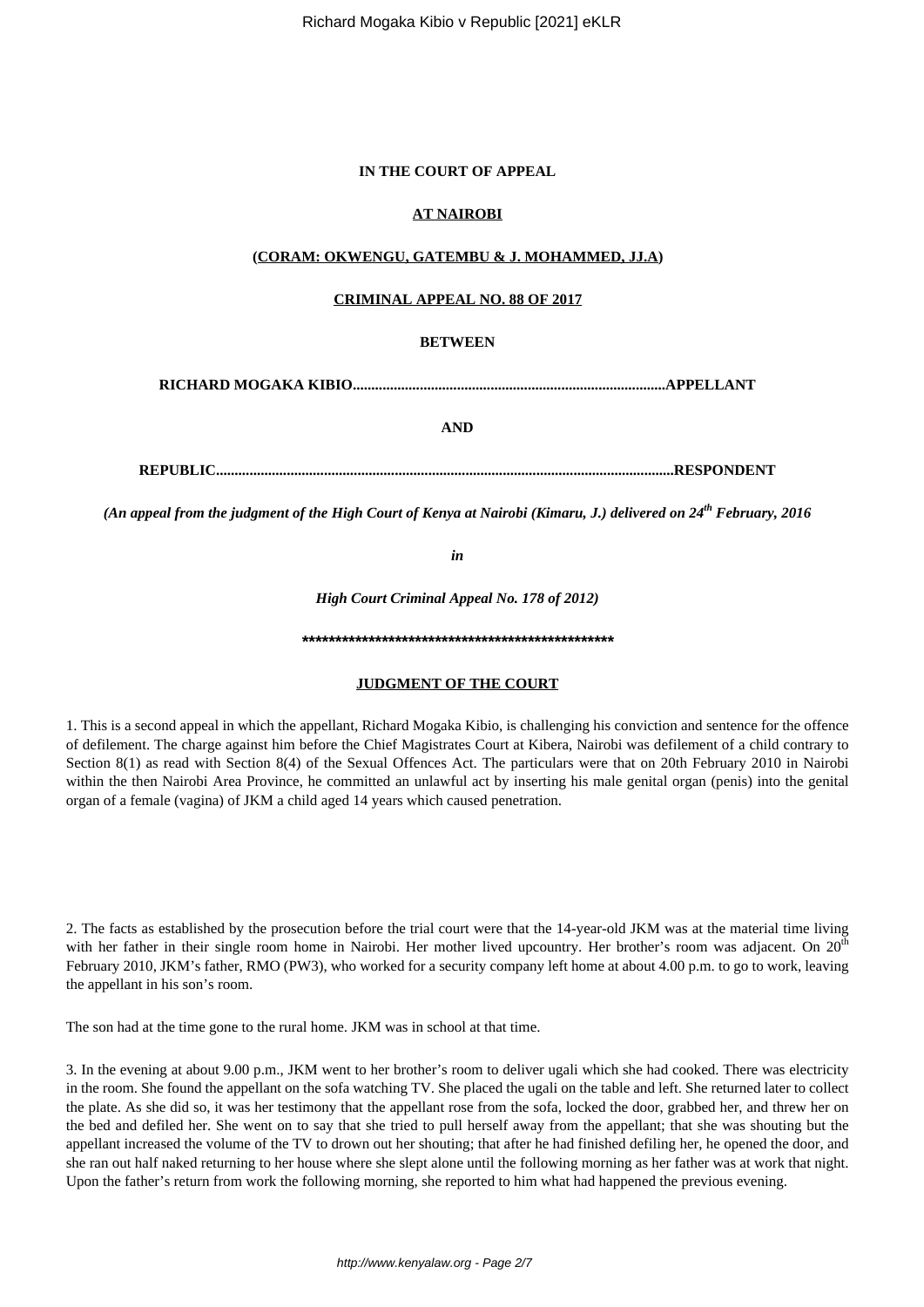#### **IN THE COURT OF APPEAL**

# **AT NAIROBI**

#### **(CORAM: OKWENGU, GATEMBU & J. MOHAMMED, JJ.A)**

### **CRIMINAL APPEAL NO. 88 OF 2017**

# **BETWEEN**

**RICHARD MOGAKA KIBIO....................................................................................APPELLANT**

**AND**

**REPUBLIC...........................................................................................................................RESPONDENT**

*(An appeal from the judgment of the High Court of Kenya at Nairobi (Kimaru, J.) delivered on 24th February, 2016*

*in*

*High Court Criminal Appeal No. 178 of 2012)*

**\*\*\*\*\*\*\*\*\*\*\*\*\*\*\*\*\*\*\*\*\*\*\*\*\*\*\*\*\*\*\*\*\*\*\*\*\*\*\*\*\*\*\*\*\*\*\***

#### **JUDGMENT OF THE COURT**

1. This is a second appeal in which the appellant, Richard Mogaka Kibio, is challenging his conviction and sentence for the offence of defilement. The charge against him before the Chief Magistrates Court at Kibera, Nairobi was defilement of a child contrary to Section 8(1) as read with Section 8(4) of the Sexual Offences Act. The particulars were that on 20th February 2010 in Nairobi within the then Nairobi Area Province, he committed an unlawful act by inserting his male genital organ (penis) into the genital organ of a female (vagina) of JKM a child aged 14 years which caused penetration.

2. The facts as established by the prosecution before the trial court were that the 14-year-old JKM was at the material time living with her father in their single room home in Nairobi. Her mother lived upcountry. Her brother's room was adjacent. On 20<sup>th</sup> February 2010, JKM's father, RMO (PW3), who worked for a security company left home at about 4.00 p.m. to go to work, leaving the appellant in his son's room.

The son had at the time gone to the rural home. JKM was in school at that time.

3. In the evening at about 9.00 p.m., JKM went to her brother's room to deliver ugali which she had cooked. There was electricity in the room. She found the appellant on the sofa watching TV. She placed the ugali on the table and left. She returned later to collect the plate. As she did so, it was her testimony that the appellant rose from the sofa, locked the door, grabbed her, and threw her on the bed and defiled her. She went on to say that she tried to pull herself away from the appellant; that she was shouting but the appellant increased the volume of the TV to drown out her shouting; that after he had finished defiling her, he opened the door, and she ran out half naked returning to her house where she slept alone until the following morning as her father was at work that night. Upon the father's return from work the following morning, she reported to him what had happened the previous evening.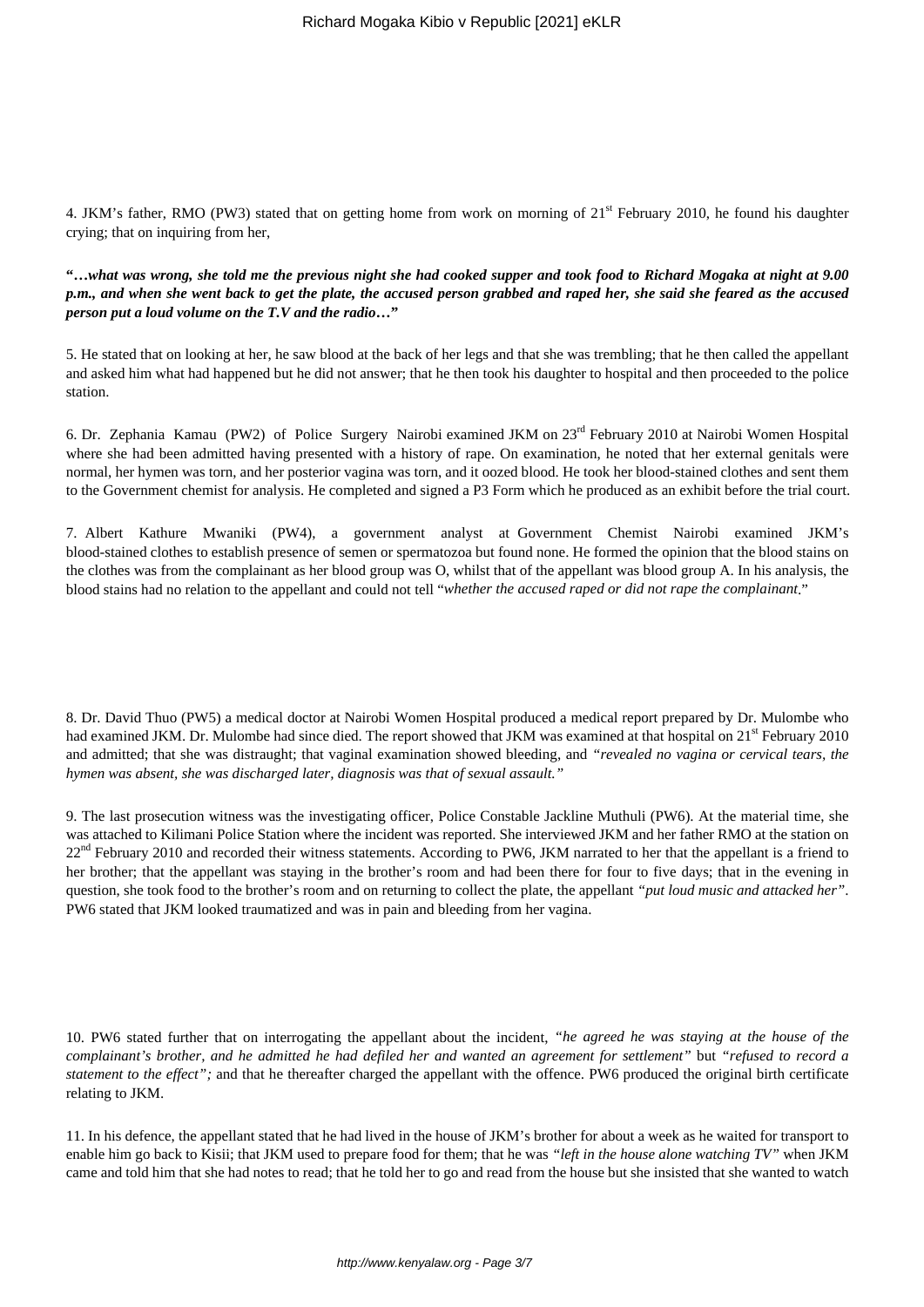4. JKM's father, RMO (PW3) stated that on getting home from work on morning of  $21<sup>st</sup>$  February 2010, he found his daughter crying; that on inquiring from her,

**"…***what was wrong, she told me the previous night she had cooked supper and took food to Richard Mogaka at night at 9.00 p.m., and when she went back to get the plate, the accused person grabbed and raped her, she said she feared as the accused person put a loud volume on the T.V and the radio***…"**

5. He stated that on looking at her, he saw blood at the back of her legs and that she was trembling; that he then called the appellant and asked him what had happened but he did not answer; that he then took his daughter to hospital and then proceeded to the police station.

6. Dr. Zephania Kamau (PW2) of Police Surgery Nairobi examined JKM on 23rd February 2010 at Nairobi Women Hospital where she had been admitted having presented with a history of rape. On examination, he noted that her external genitals were normal, her hymen was torn, and her posterior vagina was torn, and it oozed blood. He took her blood-stained clothes and sent them to the Government chemist for analysis. He completed and signed a P3 Form which he produced as an exhibit before the trial court.

7. Albert Kathure Mwaniki (PW4), a government analyst at Government Chemist Nairobi examined JKM's blood-stained clothes to establish presence of semen or spermatozoa but found none. He formed the opinion that the blood stains on the clothes was from the complainant as her blood group was O, whilst that of the appellant was blood group A. In his analysis, the blood stains had no relation to the appellant and could not tell "*whether the accused raped or did not rape the complainant*."

8. Dr. David Thuo (PW5) a medical doctor at Nairobi Women Hospital produced a medical report prepared by Dr. Mulombe who had examined JKM. Dr. Mulombe had since died. The report showed that JKM was examined at that hospital on  $21<sup>st</sup>$  February 2010 and admitted; that she was distraught; that vaginal examination showed bleeding, and *"revealed no vagina or cervical tears, the hymen was absent, she was discharged later, diagnosis was that of sexual assault."*

9. The last prosecution witness was the investigating officer, Police Constable Jackline Muthuli (PW6). At the material time, she was attached to Kilimani Police Station where the incident was reported. She interviewed JKM and her father RMO at the station on  $22<sup>nd</sup>$  February 2010 and recorded their witness statements. According to PW6, JKM narrated to her that the appellant is a friend to her brother; that the appellant was staying in the brother's room and had been there for four to five days; that in the evening in question, she took food to the brother's room and on returning to collect the plate, the appellant *"put loud music and attacked her"*. PW6 stated that JKM looked traumatized and was in pain and bleeding from her vagina.

10. PW6 stated further that on interrogating the appellant about the incident, *"he agreed he was staying at the house of the complainant's brother, and he admitted he had defiled her and wanted an agreement for settlement"* but *"refused to record a statement to the effect";* and that he thereafter charged the appellant with the offence. PW6 produced the original birth certificate relating to JKM.

11. In his defence, the appellant stated that he had lived in the house of JKM's brother for about a week as he waited for transport to enable him go back to Kisii; that JKM used to prepare food for them; that he was *"left in the house alone watching TV"* when JKM came and told him that she had notes to read; that he told her to go and read from the house but she insisted that she wanted to watch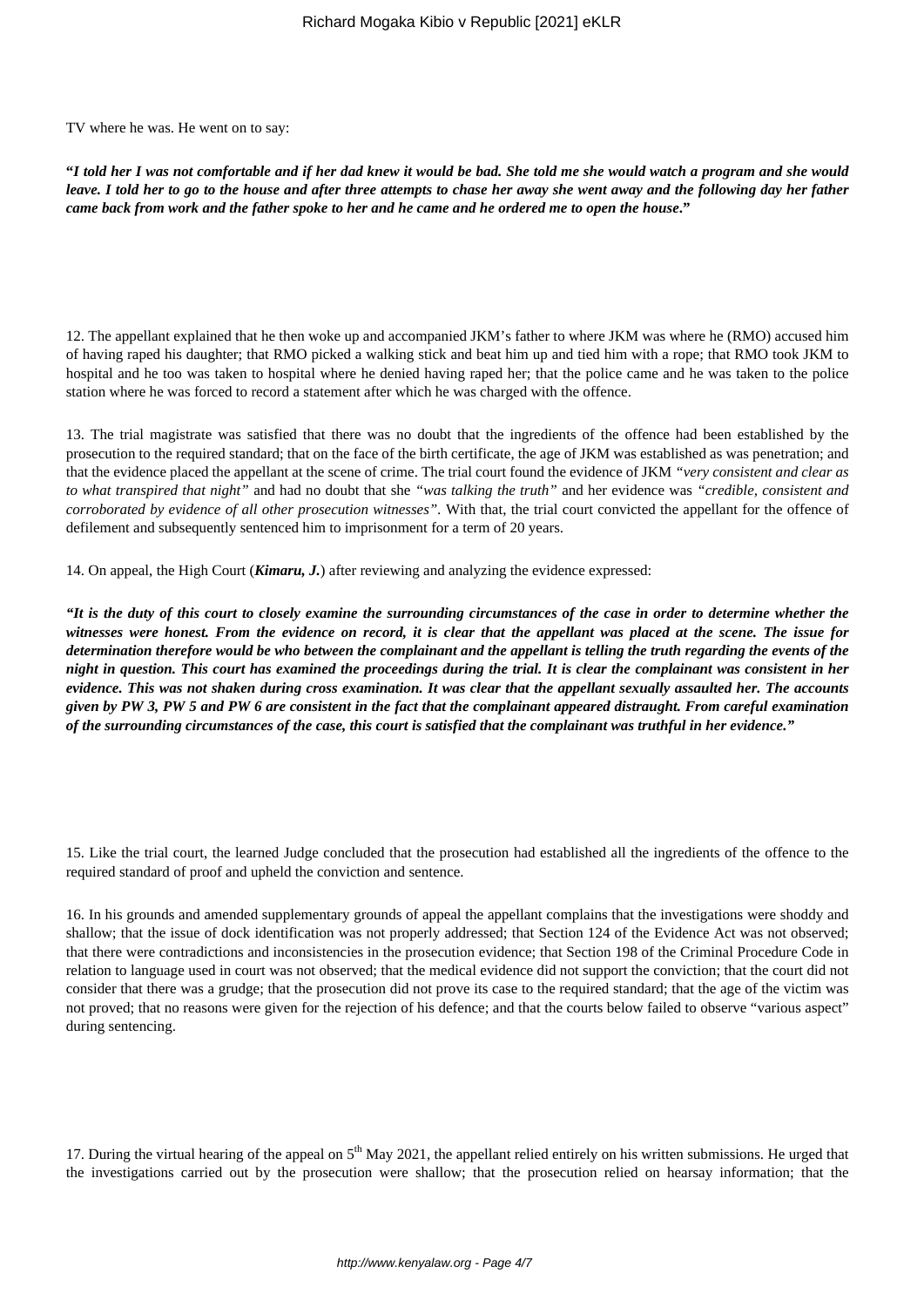TV where he was. He went on to say:

**"***I told her I was not comfortable and if her dad knew it would be bad. She told me she would watch a program and she would leave. I told her to go to the house and after three attempts to chase her away she went away and the following day her father came back from work and the father spoke to her and he came and he ordered me to open the house***."**

12. The appellant explained that he then woke up and accompanied JKM's father to where JKM was where he (RMO) accused him of having raped his daughter; that RMO picked a walking stick and beat him up and tied him with a rope; that RMO took JKM to hospital and he too was taken to hospital where he denied having raped her; that the police came and he was taken to the police station where he was forced to record a statement after which he was charged with the offence.

13. The trial magistrate was satisfied that there was no doubt that the ingredients of the offence had been established by the prosecution to the required standard; that on the face of the birth certificate, the age of JKM was established as was penetration; and that the evidence placed the appellant at the scene of crime. The trial court found the evidence of JKM *"very consistent and clear as to what transpired that night"* and had no doubt that she *"was talking the truth"* and her evidence was *"credible, consistent and corroborated by evidence of all other prosecution witnesses".* With that, the trial court convicted the appellant for the offence of defilement and subsequently sentenced him to imprisonment for a term of 20 years.

14. On appeal, the High Court (*Kimaru, J.*) after reviewing and analyzing the evidence expressed:

*"It is the duty of this court to closely examine the surrounding circumstances of the case in order to determine whether the witnesses were honest. From the evidence on record, it is clear that the appellant was placed at the scene. The issue for determination therefore would be who between the complainant and the appellant is telling the truth regarding the events of the night in question. This court has examined the proceedings during the trial. It is clear the complainant was consistent in her evidence. This was not shaken during cross examination. It was clear that the appellant sexually assaulted her. The accounts given by PW 3, PW 5 and PW 6 are consistent in the fact that the complainant appeared distraught. From careful examination of the surrounding circumstances of the case, this court is satisfied that the complainant was truthful in her evidence."*

15. Like the trial court, the learned Judge concluded that the prosecution had established all the ingredients of the offence to the required standard of proof and upheld the conviction and sentence.

16. In his grounds and amended supplementary grounds of appeal the appellant complains that the investigations were shoddy and shallow; that the issue of dock identification was not properly addressed; that Section 124 of the Evidence Act was not observed; that there were contradictions and inconsistencies in the prosecution evidence; that Section 198 of the Criminal Procedure Code in relation to language used in court was not observed; that the medical evidence did not support the conviction; that the court did not consider that there was a grudge; that the prosecution did not prove its case to the required standard; that the age of the victim was not proved; that no reasons were given for the rejection of his defence; and that the courts below failed to observe "various aspect" during sentencing.

17. During the virtual hearing of the appeal on  $5<sup>th</sup>$  May 2021, the appellant relied entirely on his written submissions. He urged that the investigations carried out by the prosecution were shallow; that the prosecution relied on hearsay information; that the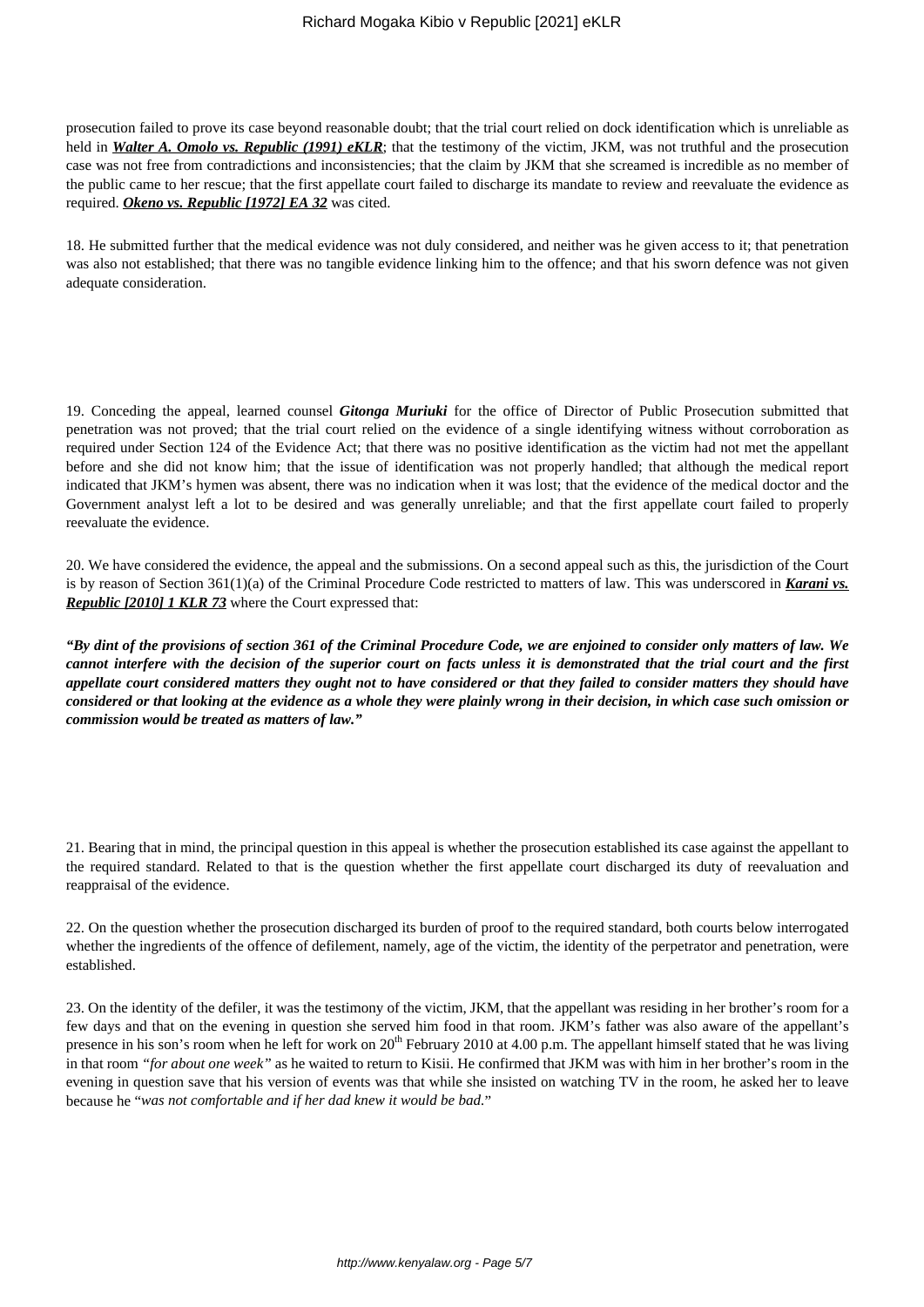prosecution failed to prove its case beyond reasonable doubt; that the trial court relied on dock identification which is unreliable as held in *Walter A. Omolo vs. Republic (1991) eKLR*; that the testimony of the victim, JKM, was not truthful and the prosecution case was not free from contradictions and inconsistencies; that the claim by JKM that she screamed is incredible as no member of the public came to her rescue; that the first appellate court failed to discharge its mandate to review and reevaluate the evidence as required. *Okeno vs. Republic [1972] EA 32* was cited.

18. He submitted further that the medical evidence was not duly considered, and neither was he given access to it; that penetration was also not established; that there was no tangible evidence linking him to the offence; and that his sworn defence was not given adequate consideration.

19. Conceding the appeal, learned counsel *Gitonga Muriuki* for the office of Director of Public Prosecution submitted that penetration was not proved; that the trial court relied on the evidence of a single identifying witness without corroboration as required under Section 124 of the Evidence Act; that there was no positive identification as the victim had not met the appellant before and she did not know him; that the issue of identification was not properly handled; that although the medical report indicated that JKM's hymen was absent, there was no indication when it was lost; that the evidence of the medical doctor and the Government analyst left a lot to be desired and was generally unreliable; and that the first appellate court failed to properly reevaluate the evidence.

20. We have considered the evidence, the appeal and the submissions. On a second appeal such as this, the jurisdiction of the Court is by reason of Section 361(1)(a) of the Criminal Procedure Code restricted to matters of law. This was underscored in *Karani vs. Republic [2010] 1 KLR 73* where the Court expressed that:

*"By dint of the provisions of section 361 of the Criminal Procedure Code, we are enjoined to consider only matters of law. We cannot interfere with the decision of the superior court on facts unless it is demonstrated that the trial court and the first appellate court considered matters they ought not to have considered or that they failed to consider matters they should have considered or that looking at the evidence as a whole they were plainly wrong in their decision, in which case such omission or commission would be treated as matters of law."*

21. Bearing that in mind, the principal question in this appeal is whether the prosecution established its case against the appellant to the required standard. Related to that is the question whether the first appellate court discharged its duty of reevaluation and reappraisal of the evidence.

22. On the question whether the prosecution discharged its burden of proof to the required standard, both courts below interrogated whether the ingredients of the offence of defilement, namely, age of the victim, the identity of the perpetrator and penetration, were established.

23. On the identity of the defiler, it was the testimony of the victim, JKM, that the appellant was residing in her brother's room for a few days and that on the evening in question she served him food in that room. JKM's father was also aware of the appellant's presence in his son's room when he left for work on 20<sup>th</sup> February 2010 at 4.00 p.m. The appellant himself stated that he was living in that room *"for about one week"* as he waited to return to Kisii. He confirmed that JKM was with him in her brother's room in the evening in question save that his version of events was that while she insisted on watching TV in the room, he asked her to leave because he "*was not comfortable and if her dad knew it would be bad.*"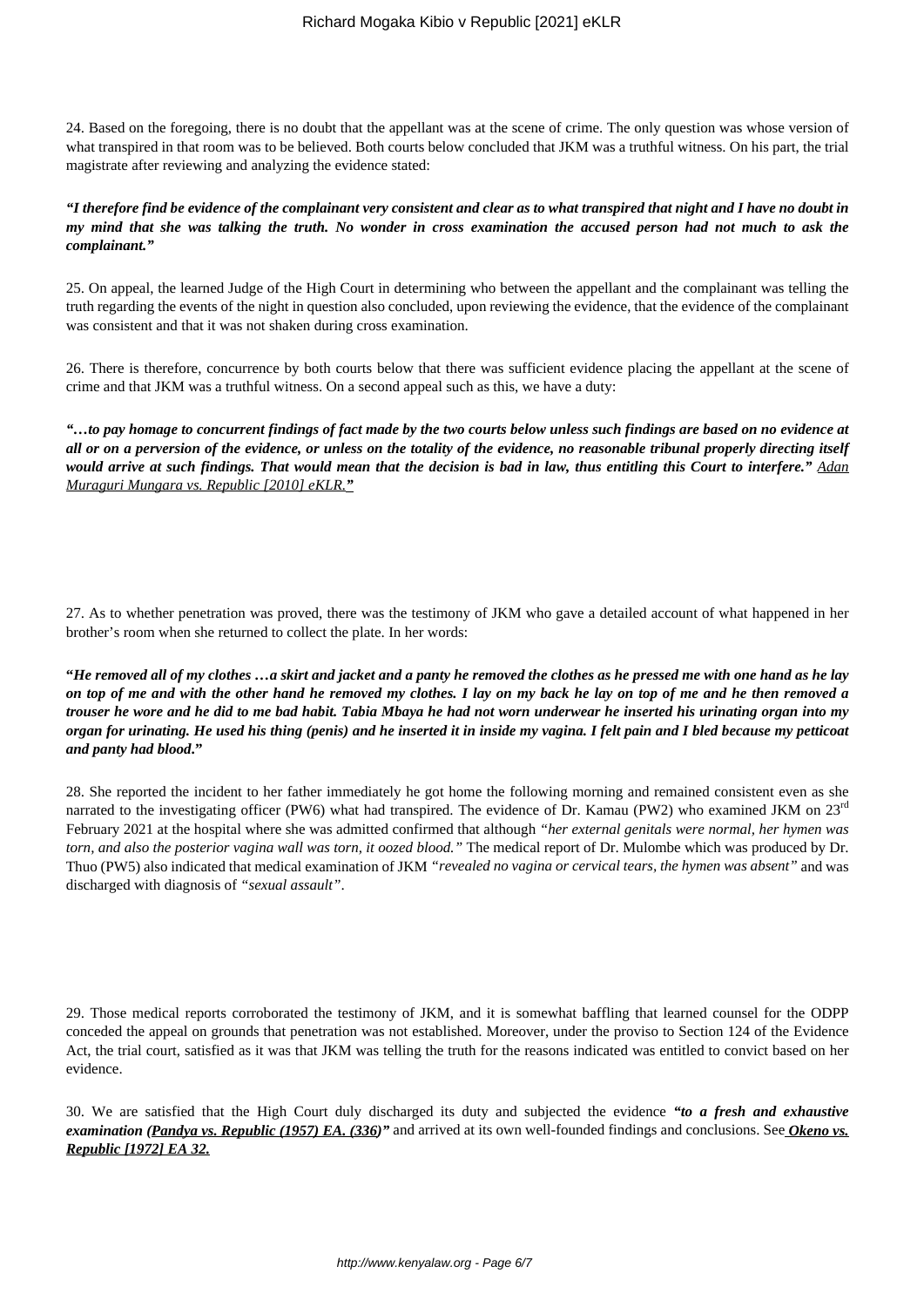24. Based on the foregoing, there is no doubt that the appellant was at the scene of crime. The only question was whose version of what transpired in that room was to be believed. Both courts below concluded that JKM was a truthful witness. On his part, the trial magistrate after reviewing and analyzing the evidence stated:

# *"I therefore find be evidence of the complainant very consistent and clear as to what transpired that night and I have no doubt in my mind that she was talking the truth. No wonder in cross examination the accused person had not much to ask the complainant."*

25. On appeal, the learned Judge of the High Court in determining who between the appellant and the complainant was telling the truth regarding the events of the night in question also concluded, upon reviewing the evidence, that the evidence of the complainant was consistent and that it was not shaken during cross examination.

26. There is therefore, concurrence by both courts below that there was sufficient evidence placing the appellant at the scene of crime and that JKM was a truthful witness. On a second appeal such as this, we have a duty:

*"…to pay homage to concurrent findings of fact made by the two courts below unless such findings are based on no evidence at all or on a perversion of the evidence, or unless on the totality of the evidence, no reasonable tribunal properly directing itself would arrive at such findings. That would mean that the decision is bad in law, thus entitling this Court to interfere." Adan Muraguri Mungara vs. Republic [2010] eKLR."*

27. As to whether penetration was proved, there was the testimony of JKM who gave a detailed account of what happened in her brother's room when she returned to collect the plate. In her words:

**"***He removed all of my clothes …a skirt and jacket and a panty he removed the clothes as he pressed me with one hand as he lay on top of me and with the other hand he removed my clothes. I lay on my back he lay on top of me and he then removed a trouser he wore and he did to me bad habit. Tabia Mbaya he had not worn underwear he inserted his urinating organ into my organ for urinating. He used his thing (penis) and he inserted it in inside my vagina. I felt pain and I bled because my petticoat and panty had blood***."**

28. She reported the incident to her father immediately he got home the following morning and remained consistent even as she narrated to the investigating officer (PW6) what had transpired. The evidence of Dr. Kamau (PW2) who examined JKM on 23<sup>rd</sup> February 2021 at the hospital where she was admitted confirmed that although *"her external genitals were normal, her hymen was torn, and also the posterior vagina wall was torn, it oozed blood."* The medical report of Dr. Mulombe which was produced by Dr. Thuo (PW5) also indicated that medical examination of JKM *"revealed no vagina or cervical tears, the hymen was absent"* and was discharged with diagnosis of *"sexual assault"*.

29. Those medical reports corroborated the testimony of JKM, and it is somewhat baffling that learned counsel for the ODPP conceded the appeal on grounds that penetration was not established. Moreover, under the proviso to Section 124 of the Evidence Act, the trial court, satisfied as it was that JKM was telling the truth for the reasons indicated was entitled to convict based on her evidence.

30. We are satisfied that the High Court duly discharged its duty and subjected the evidence *"to a fresh and exhaustive examination (Pandya vs. Republic (1957) EA. (336)"* and arrived at its own well-founded findings and conclusions. See *Okeno vs. Republic [1972] EA 32.*